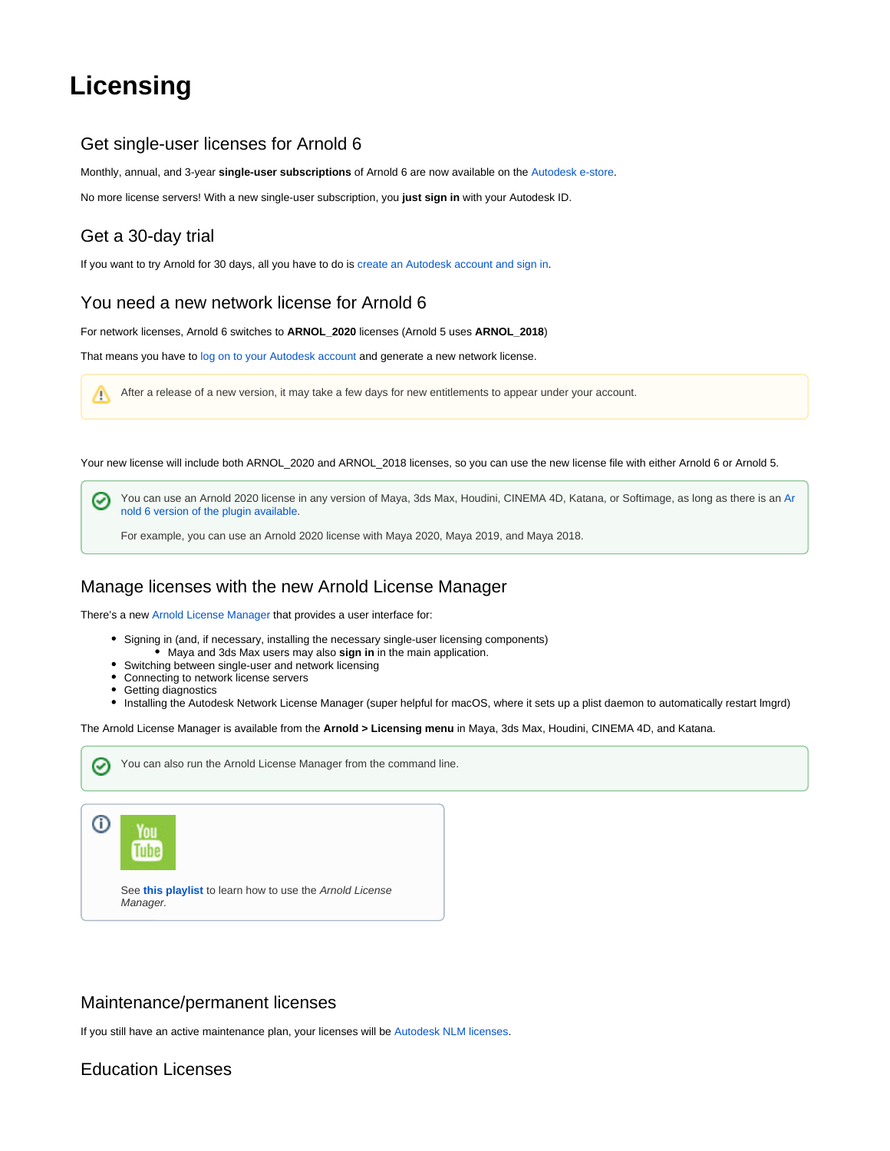# <span id="page-0-0"></span>**Licensing**

## Get single-user licenses for Arnold 6

Monthly, annual, and 3-year **single-user subscriptions** of Arnold 6 are now available on the [Autodesk e-store](https://www.autodesk.com/products/arnold/subscribe).

No more license servers! With a new single-user subscription, you **just sign in** with your Autodesk ID.

## Get a 30-day trial

If you want to try Arnold for 30 days, all you have to do is [create an Autodesk account and sign in](https://docs.arnoldrenderer.com/display/A5AILIC/Starting+an+Arnold+trial).

## You need a new network license for Arnold 6

For network licenses, Arnold 6 switches to **ARNOL\_2020** licenses (Arnold 5 uses **ARNOL\_2018**)

That means you have to [log on to your Autodesk account](http://manage.autodesk.com) and generate a new network license.

After a release of a new version, it may take a few days for new entitlements to appear under your account.  $\wedge$ 

Your new license will include both ARNOL\_2020 and ARNOL\_2018 licenses, so you can use the new license file with either Arnold 6 or Arnold 5.

You can use an Arnold 2020 license in any version of Maya, 3ds Max, Houdini, CINEMA 4D, Katana, or Softimage, as long as there is an [Ar](https://www.arnoldrenderer.com/arnold/download/) ☑ [nold 6 version of the plugin available.](https://www.arnoldrenderer.com/arnold/download/)

For example, you can use an Arnold 2020 license with Maya 2020, Maya 2019, and Maya 2018.

#### Manage licenses with the new Arnold License Manager

You can also run the Arnold License Manager from the command line.

There's a new [Arnold License Manager](https://docs.arnoldrenderer.com/display/A5AILIC/Arnold+License+Manager) that provides a user interface for:

- Signing in (and, if necessary, installing the necessary single-user licensing components)
	- Maya and 3ds Max users may also **sign in** in the main application.
- Switching between single-user and network licensing
- Connecting to network license servers
- Getting diagnostics
- Installing the Autodesk Network License Manager (super helpful for macOS, where it sets up a plist daemon to automatically restart lmgrd)

The Arnold License Manager is available from the **Arnold > Licensing menu** in Maya, 3ds Max, Houdini, CINEMA 4D, and Katana.



#### Maintenance/permanent licenses

If you still have an active maintenance plan, your licenses will be [Autodesk NLM licenses.](https://docs.arnoldrenderer.com/display/NLG/Arnold+NLM+Licensing+Guide)

#### Education Licenses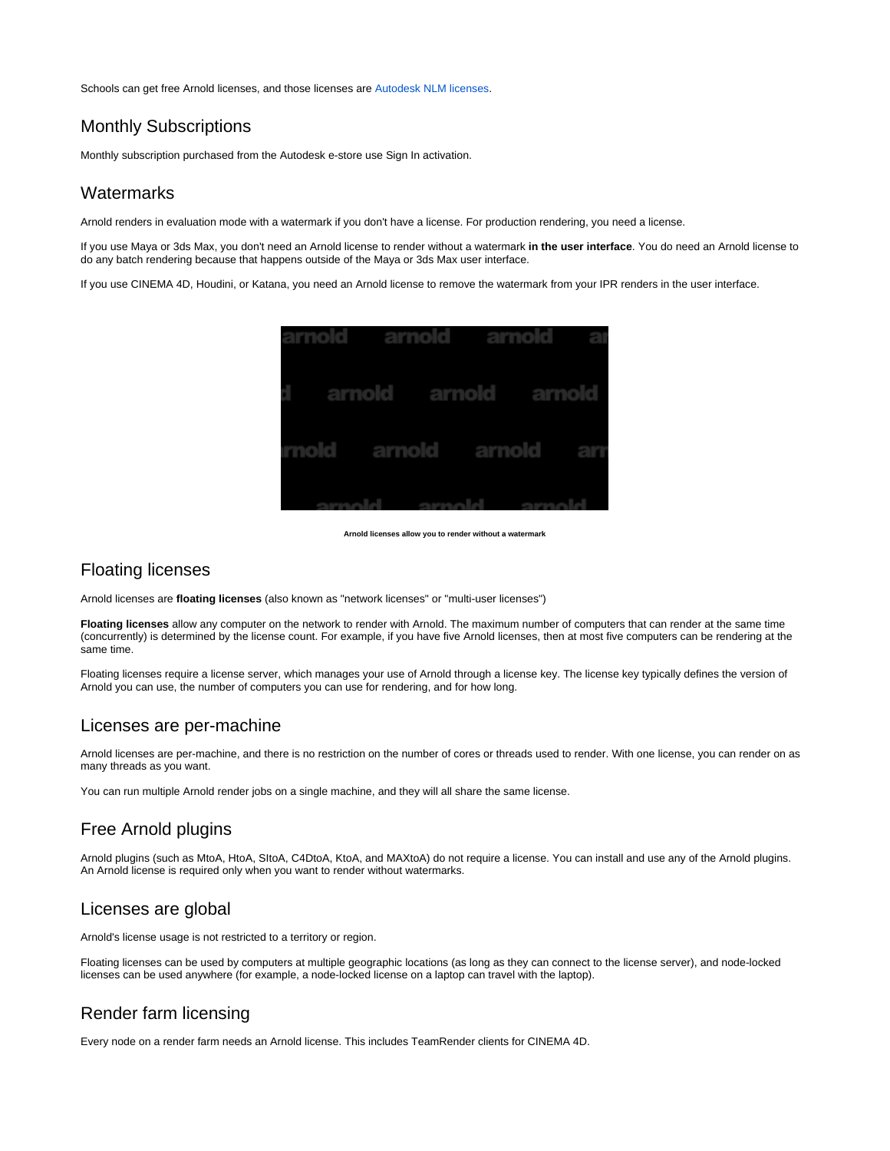Schools can get free Arnold licenses, and those licenses are [Autodesk NLM licenses](https://docs.arnoldrenderer.com/display/NLG/Arnold+NLM+Licensing+Guide).

## Monthly Subscriptions

Monthly subscription purchased from the Autodesk e-store use Sign In activation.

#### **Watermarks**

Arnold renders in evaluation mode with a watermark if you don't have a license. For production rendering, you need a license.

If you use Maya or 3ds Max, you don't need an Arnold license to render without a watermark **in the user interface**. You do need an Arnold license to do any batch rendering because that happens outside of the Maya or 3ds Max user interface.

If you use CINEMA 4D, Houdini, or Katana, you need an Arnold license to remove the watermark from your IPR renders in the user interface.



**Arnold licenses allow you to render without a watermark**

#### Floating licenses

Arnold licenses are **floating licenses** (also known as "network licenses" or "multi-user licenses")

**Floating licenses** allow any computer on the network to render with Arnold. The maximum number of computers that can render at the same time (concurrently) is determined by the license count. For example, if you have five Arnold licenses, then at most five computers can be rendering at the same time.

Floating licenses require a license server, which manages your use of Arnold through a license key. The license key typically defines the version of Arnold you can use, the number of computers you can use for rendering, and for how long.

#### Licenses are per-machine

Arnold licenses are per-machine, and there is no restriction on the number of cores or threads used to render. With one license, you can render on as many threads as you want.

You can run multiple Arnold render jobs on a single machine, and they will all share the same license.

### Free Arnold plugins

Arnold plugins (such as MtoA, HtoA, SItoA, C4DtoA, KtoA, and MAXtoA) do not require a license. You can install and use any of the Arnold plugins. An Arnold license is required only when you want to render without watermarks.

#### Licenses are global

Arnold's license usage is not restricted to a territory or region.

Floating licenses can be used by computers at multiple geographic locations (as long as they can connect to the license server), and node-locked licenses can be used anywhere (for example, a node-locked license on a laptop can travel with the laptop).

## Render farm licensing

Every node on a render farm needs an Arnold license. This includes TeamRender clients for CINEMA 4D.